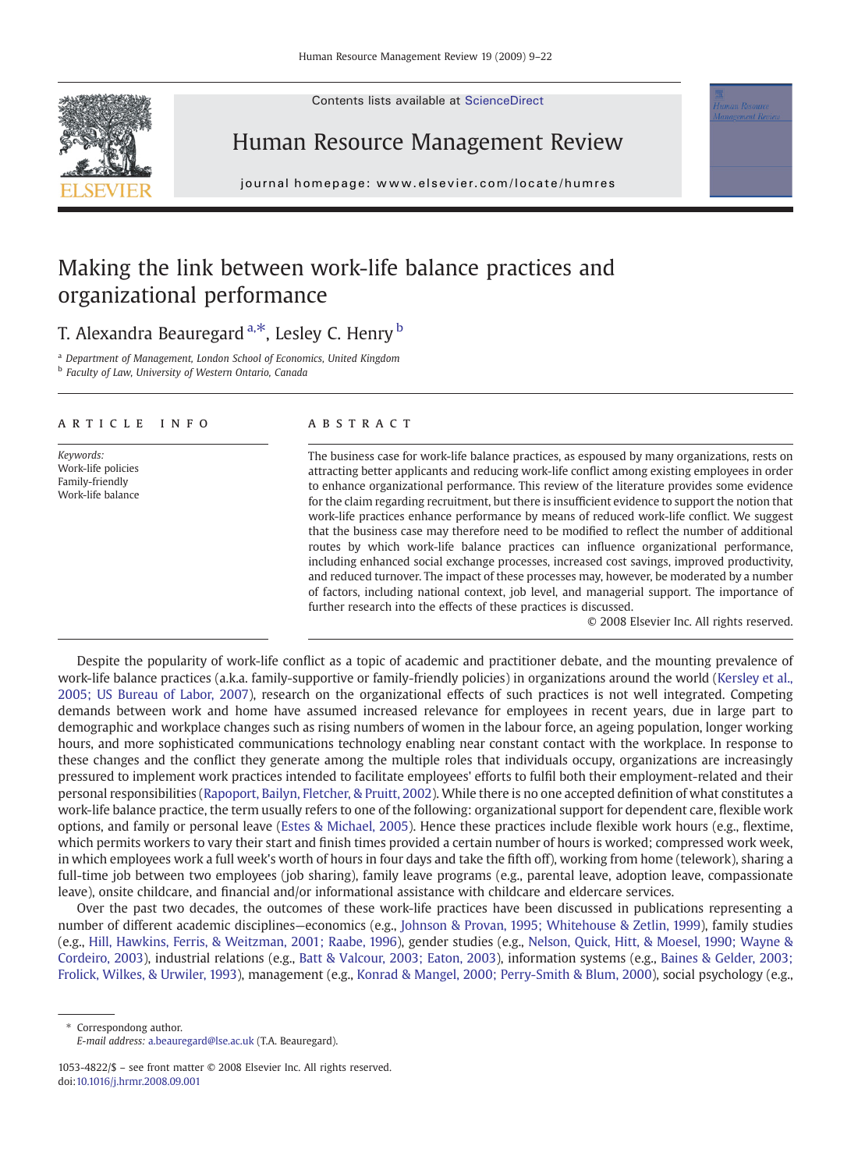Contents lists available at ScienceDirect



Human Resource Management Review

journal homepage: www.elsevier.com/locate/humres

## Making the link between work-life balance practices and organizational performance

T. Alexandra Beauregard  $a, *$ , Lesley C. Henry  $\overline{b}$ 

<sup>a</sup> Department of Management, London School of Economics, United Kingdom **b** Faculty of Law, University of Western Ontario, Canada

### article info abstract

Keywords: Work-life policies Family-friendly Work-life balance

The business case for work-life balance practices, as espoused by many organizations, rests on attracting better applicants and reducing work-life conflict among existing employees in order to enhance organizational performance. This review of the literature provides some evidence for the claim regarding recruitment, but there is insufficient evidence to support the notion that work-life practices enhance performance by means of reduced work-life conflict. We suggest that the business case may therefore need to be modified to reflect the number of additional routes by which work-life balance practices can influence organizational performance, including enhanced social exchange processes, increased cost savings, improved productivity, and reduced turnover. The impact of these processes may, however, be moderated by a number of factors, including national context, job level, and managerial support. The importance of further research into the effects of these practices is discussed.

© 2008 Elsevier Inc. All rights reserved.

Despite the popularity of work-life conflict as a topic of academic and practitioner debate, and the mounting prevalence of work-life balance practices (a.k.a. family-supportive or family-friendly policies) in organizations around the world [\(Kersley et al.,](#page--1-0) [2005; US Bureau of Labor, 2007\)](#page--1-0), research on the organizational effects of such practices is not well integrated. Competing demands between work and home have assumed increased relevance for employees in recent years, due in large part to demographic and workplace changes such as rising numbers of women in the labour force, an ageing population, longer working hours, and more sophisticated communications technology enabling near constant contact with the workplace. In response to these changes and the conflict they generate among the multiple roles that individuals occupy, organizations are increasingly pressured to implement work practices intended to facilitate employees' efforts to fulfil both their employment-related and their personal responsibilities [\(Rapoport, Bailyn, Fletcher, & Pruitt, 2002\)](#page--1-0). While there is no one accepted definition of what constitutes a work-life balance practice, the term usually refers to one of the following: organizational support for dependent care, flexible work options, and family or personal leave [\(Estes & Michael, 2005](#page--1-0)). Hence these practices include flexible work hours (e.g., flextime, which permits workers to vary their start and finish times provided a certain number of hours is worked; compressed work week, in which employees work a full week's worth of hours in four days and take the fifth off), working from home (telework), sharing a full-time job between two employees (job sharing), family leave programs (e.g., parental leave, adoption leave, compassionate leave), onsite childcare, and financial and/or informational assistance with childcare and eldercare services.

Over the past two decades, the outcomes of these work-life practices have been discussed in publications representing a number of different academic disciplines—economics (e.g., [Johnson & Provan, 1995; Whitehouse & Zetlin, 1999](#page--1-0)), family studies (e.g., [Hill, Hawkins, Ferris, & Weitzman, 2001; Raabe, 1996\)](#page--1-0), gender studies (e.g., [Nelson, Quick, Hitt, & Moesel, 1990; Wayne &](#page--1-0) [Cordeiro, 2003\)](#page--1-0), industrial relations (e.g., [Batt & Valcour, 2003; Eaton, 2003\)](#page--1-0), information systems (e.g., [Baines & Gelder, 2003;](#page--1-0) [Frolick, Wilkes, & Urwiler, 1993](#page--1-0)), management (e.g., [Konrad & Mangel, 2000; Perry-Smith & Blum, 2000\)](#page--1-0), social psychology (e.g.,

⁎ Correspondong author. E-mail address: [a.beauregard@lse.ac.uk](mailto:a.beauregard@lse.ac.uk) (T.A. Beauregard).

<sup>1053-4822/\$</sup> – see front matter © 2008 Elsevier Inc. All rights reserved. doi[:10.1016/j.hrmr.2008.09.001](http://dx.doi.org/10.1016/j.hrmr.2008.09.001)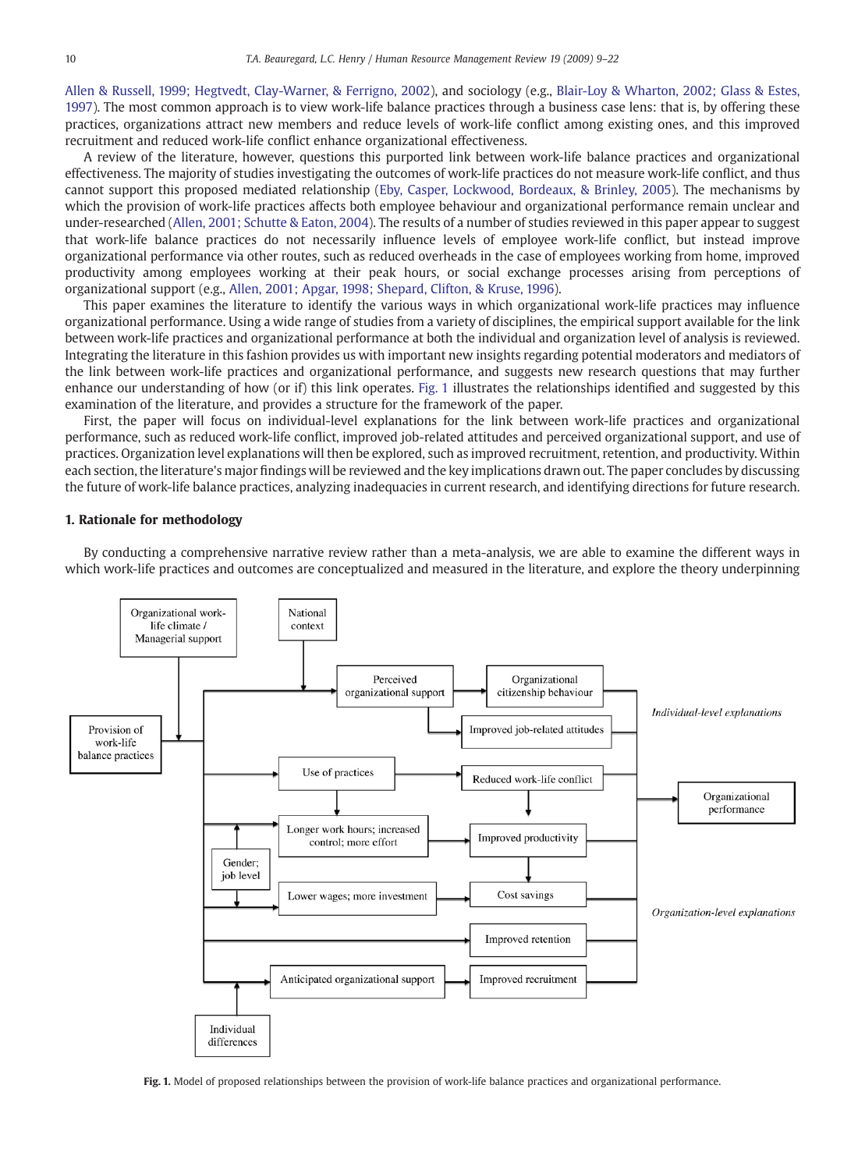[Allen & Russell, 1999; Hegtvedt, Clay-Warner, & Ferrigno, 2002](#page--1-0)), and sociology (e.g., [Blair-Loy & Wharton, 2002; Glass & Estes,](#page--1-0) [1997\)](#page--1-0). The most common approach is to view work-life balance practices through a business case lens: that is, by offering these practices, organizations attract new members and reduce levels of work-life conflict among existing ones, and this improved recruitment and reduced work-life conflict enhance organizational effectiveness.

A review of the literature, however, questions this purported link between work-life balance practices and organizational effectiveness. The majority of studies investigating the outcomes of work-life practices do not measure work-life conflict, and thus cannot support this proposed mediated relationship ([Eby, Casper, Lockwood, Bordeaux, & Brinley, 2005\)](#page--1-0). The mechanisms by which the provision of work-life practices affects both employee behaviour and organizational performance remain unclear and under-researched ([Allen, 2001; Schutte & Eaton, 2004\)](#page--1-0). The results of a number of studies reviewed in this paper appear to suggest that work-life balance practices do not necessarily influence levels of employee work-life conflict, but instead improve organizational performance via other routes, such as reduced overheads in the case of employees working from home, improved productivity among employees working at their peak hours, or social exchange processes arising from perceptions of organizational support (e.g., [Allen, 2001; Apgar, 1998; Shepard, Clifton, & Kruse, 1996](#page--1-0)).

This paper examines the literature to identify the various ways in which organizational work-life practices may influence organizational performance. Using a wide range of studies from a variety of disciplines, the empirical support available for the link between work-life practices and organizational performance at both the individual and organization level of analysis is reviewed. Integrating the literature in this fashion provides us with important new insights regarding potential moderators and mediators of the link between work-life practices and organizational performance, and suggests new research questions that may further enhance our understanding of how (or if) this link operates. Fig. 1 illustrates the relationships identified and suggested by this examination of the literature, and provides a structure for the framework of the paper.

First, the paper will focus on individual-level explanations for the link between work-life practices and organizational performance, such as reduced work-life conflict, improved job-related attitudes and perceived organizational support, and use of practices. Organization level explanations will then be explored, such as improved recruitment, retention, and productivity. Within each section, the literature's major findings will be reviewed and the key implications drawn out. The paper concludes by discussing the future of work-life balance practices, analyzing inadequacies in current research, and identifying directions for future research.

### 1. Rationale for methodology

By conducting a comprehensive narrative review rather than a meta-analysis, we are able to examine the different ways in which work-life practices and outcomes are conceptualized and measured in the literature, and explore the theory underpinning



Fig. 1. Model of proposed relationships between the provision of work-life balance practices and organizational performance.